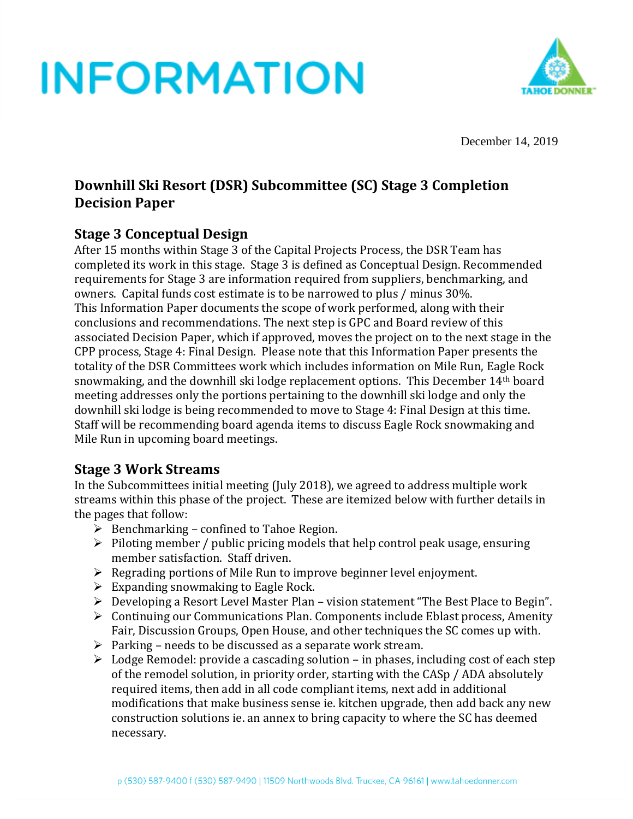

December 14, 2019

### **Downhill Ski Resort (DSR) Subcommittee (SC) Stage 3 Completion Decision Paper**

### **Stage 3 Conceptual Design**

After 15 months within Stage 3 of the Capital Projects Process, the DSR Team has completed its work in this stage. Stage 3 is defined as Conceptual Design. Recommended requirements for Stage 3 are information required from suppliers, benchmarking, and owners. Capital funds cost estimate is to be narrowed to plus / minus 30%. This Information Paper documents the scope of work performed, along with their conclusions and recommendations. The next step is GPC and Board review of this associated Decision Paper, which if approved, moves the project on to the next stage in the CPP process, Stage 4: Final Design. Please note that this Information Paper presents the totality of the DSR Committees work which includes information on Mile Run, Eagle Rock snowmaking, and the downhill ski lodge replacement options. This December 14th board meeting addresses only the portions pertaining to the downhill ski lodge and only the downhill ski lodge is being recommended to move to Stage 4: Final Design at this time. Staff will be recommending board agenda items to discuss Eagle Rock snowmaking and Mile Run in upcoming board meetings.

### **Stage 3 Work Streams**

In the Subcommittees initial meeting (July 2018), we agreed to address multiple work streams within this phase of the project. These are itemized below with further details in the pages that follow:

- $\triangleright$  Benchmarking confined to Tahoe Region.
- $\triangleright$  Piloting member / public pricing models that help control peak usage, ensuring member satisfaction. Staff driven.
- ➢ Regrading portions of Mile Run to improve beginner level enjoyment.
- $\triangleright$  Expanding snowmaking to Eagle Rock.
- $\triangleright$  Developing a Resort Level Master Plan vision statement "The Best Place to Begin".
- ➢ Continuing our Communications Plan. Components include Eblast process, Amenity Fair, Discussion Groups, Open House, and other techniques the SC comes up with.
- $\triangleright$  Parking needs to be discussed as a separate work stream.
- ➢ Lodge Remodel: provide a cascading solution in phases, including cost of each step of the remodel solution, in priority order, starting with the CASp / ADA absolutely required items, then add in all code compliant items, next add in additional modifications that make business sense ie. kitchen upgrade, then add back any new construction solutions ie. an annex to bring capacity to where the SC has deemed necessary.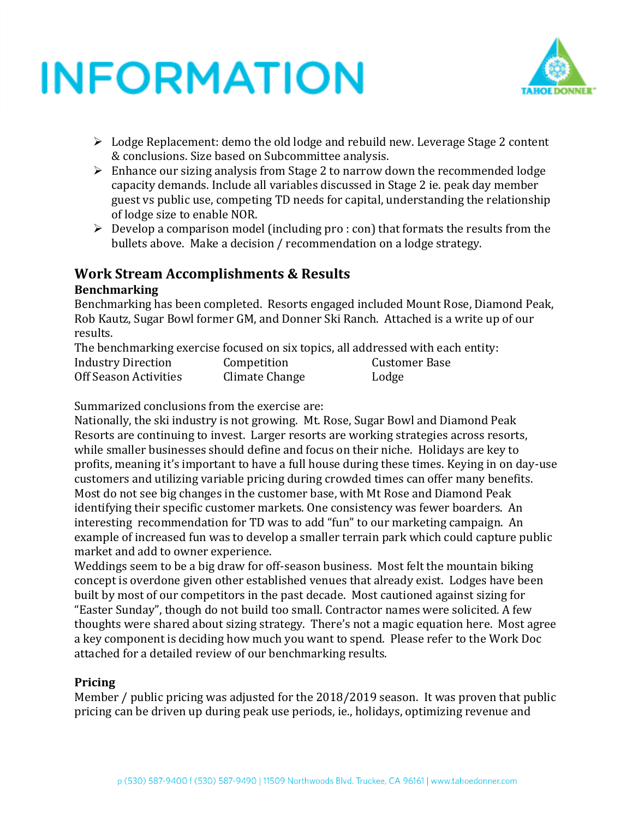

- $\triangleright$  Lodge Replacement: demo the old lodge and rebuild new. Leverage Stage 2 content & conclusions. Size based on Subcommittee analysis.
- ➢ Enhance our sizing analysis from Stage 2 to narrow down the recommended lodge capacity demands. Include all variables discussed in Stage 2 ie. peak day member guest vs public use, competing TD needs for capital, understanding the relationship of lodge size to enable NOR.
- $\triangleright$  Develop a comparison model (including pro : con) that formats the results from the bullets above. Make a decision / recommendation on a lodge strategy.

### **Work Stream Accomplishments & Results**

#### **Benchmarking**

Benchmarking has been completed. Resorts engaged included Mount Rose, Diamond Peak, Rob Kautz, Sugar Bowl former GM, and Donner Ski Ranch. Attached is a write up of our results.

The benchmarking exercise focused on six topics, all addressed with each entity:

| <b>Industry Direction</b> | Competition    | Customer Base |
|---------------------------|----------------|---------------|
| Off Season Activities     | Climate Change | Lodge         |

Summarized conclusions from the exercise are:

Nationally, the ski industry is not growing. Mt. Rose, Sugar Bowl and Diamond Peak Resorts are continuing to invest. Larger resorts are working strategies across resorts, while smaller businesses should define and focus on their niche. Holidays are key to profits, meaning it's important to have a full house during these times. Keying in on day-use customers and utilizing variable pricing during crowded times can offer many benefits. Most do not see big changes in the customer base, with Mt Rose and Diamond Peak identifying their specific customer markets. One consistency was fewer boarders. An interesting recommendation for TD was to add "fun" to our marketing campaign. An example of increased fun was to develop a smaller terrain park which could capture public market and add to owner experience.

Weddings seem to be a big draw for off-season business. Most felt the mountain biking concept is overdone given other established venues that already exist. Lodges have been built by most of our competitors in the past decade. Most cautioned against sizing for "Easter Sunday", though do not build too small. Contractor names were solicited. A few thoughts were shared about sizing strategy. There's not a magic equation here. Most agree a key component is deciding how much you want to spend. Please refer to the Work Doc attached for a detailed review of our benchmarking results.

### **Pricing**

Member / public pricing was adjusted for the 2018/2019 season. It was proven that public pricing can be driven up during peak use periods, ie., holidays, optimizing revenue and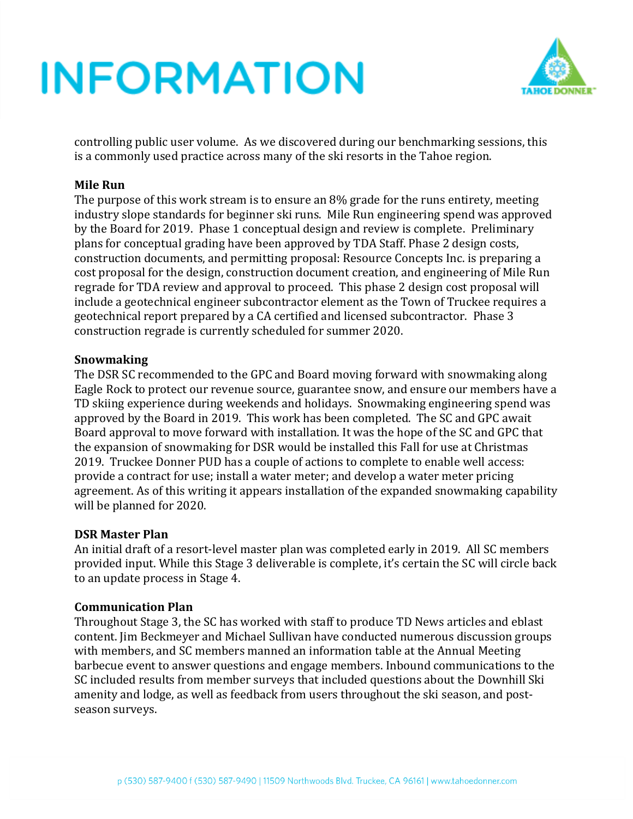

controlling public user volume. As we discovered during our benchmarking sessions, this is a commonly used practice across many of the ski resorts in the Tahoe region.

#### **Mile Run**

The purpose of this work stream is to ensure an 8% grade for the runs entirety, meeting industry slope standards for beginner ski runs. Mile Run engineering spend was approved by the Board for 2019. Phase 1 conceptual design and review is complete. Preliminary plans for conceptual grading have been approved by TDA Staff. Phase 2 design costs, construction documents, and permitting proposal: Resource Concepts Inc. is preparing a cost proposal for the design, construction document creation, and engineering of Mile Run regrade for TDA review and approval to proceed. This phase 2 design cost proposal will include a geotechnical engineer subcontractor element as the Town of Truckee requires a geotechnical report prepared by a CA certified and licensed subcontractor. Phase 3 construction regrade is currently scheduled for summer 2020.

#### **Snowmaking**

The DSR SC recommended to the GPC and Board moving forward with snowmaking along Eagle Rock to protect our revenue source, guarantee snow, and ensure our members have a TD skiing experience during weekends and holidays. Snowmaking engineering spend was approved by the Board in 2019. This work has been completed. The SC and GPC await Board approval to move forward with installation. It was the hope of the SC and GPC that the expansion of snowmaking for DSR would be installed this Fall for use at Christmas 2019. Truckee Donner PUD has a couple of actions to complete to enable well access: provide a contract for use; install a water meter; and develop a water meter pricing agreement. As of this writing it appears installation of the expanded snowmaking capability will be planned for 2020.

#### **DSR Master Plan**

An initial draft of a resort-level master plan was completed early in 2019. All SC members provided input. While this Stage 3 deliverable is complete, it's certain the SC will circle back to an update process in Stage 4.

#### **Communication Plan**

Throughout Stage 3, the SC has worked with staff to produce TD News articles and eblast content. Jim Beckmeyer and Michael Sullivan have conducted numerous discussion groups with members, and SC members manned an information table at the Annual Meeting barbecue event to answer questions and engage members. Inbound communications to the SC included results from member surveys that included questions about the Downhill Ski amenity and lodge, as well as feedback from users throughout the ski season, and postseason surveys.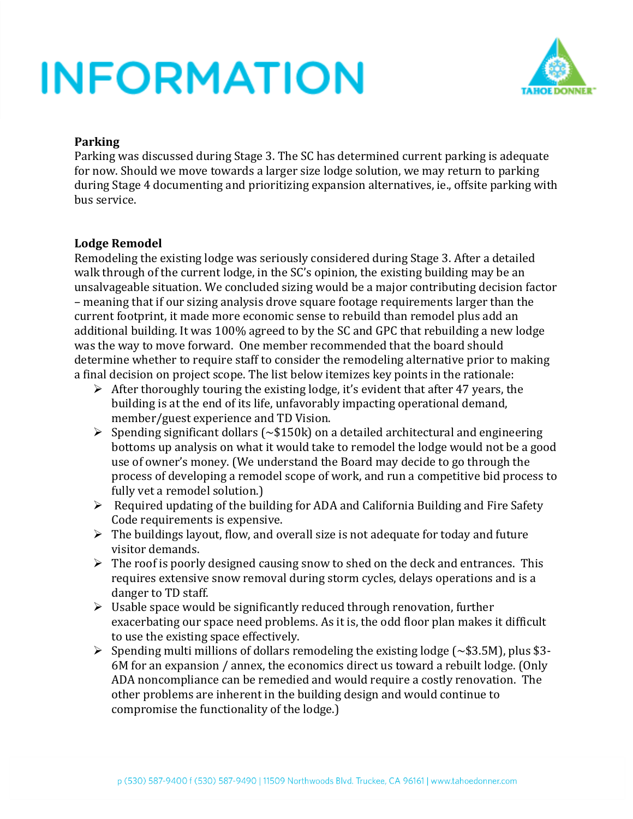

#### **Parking**

Parking was discussed during Stage 3. The SC has determined current parking is adequate for now. Should we move towards a larger size lodge solution, we may return to parking during Stage 4 documenting and prioritizing expansion alternatives, ie., offsite parking with bus service.

#### **Lodge Remodel**

Remodeling the existing lodge was seriously considered during Stage 3. After a detailed walk through of the current lodge, in the SC's opinion, the existing building may be an unsalvageable situation. We concluded sizing would be a major contributing decision factor – meaning that if our sizing analysis drove square footage requirements larger than the current footprint, it made more economic sense to rebuild than remodel plus add an additional building. It was 100% agreed to by the SC and GPC that rebuilding a new lodge was the way to move forward. One member recommended that the board should determine whether to require staff to consider the remodeling alternative prior to making a final decision on project scope. The list below itemizes key points in the rationale:

- $\triangleright$  After thoroughly touring the existing lodge, it's evident that after 47 years, the building is at the end of its life, unfavorably impacting operational demand, member/guest experience and TD Vision.
- $\triangleright$  Spending significant dollars ( $\sim$ \$150k) on a detailed architectural and engineering bottoms up analysis on what it would take to remodel the lodge would not be a good use of owner's money. (We understand the Board may decide to go through the process of developing a remodel scope of work, and run a competitive bid process to fully vet a remodel solution.)
- ➢ Required updating of the building for ADA and California Building and Fire Safety Code requirements is expensive.
- $\triangleright$  The buildings layout, flow, and overall size is not adequate for today and future visitor demands.
- $\triangleright$  The roof is poorly designed causing snow to shed on the deck and entrances. This requires extensive snow removal during storm cycles, delays operations and is a danger to TD staff.
- $\triangleright$  Usable space would be significantly reduced through renovation, further exacerbating our space need problems. As it is, the odd floor plan makes it difficult to use the existing space effectively.
- $\triangleright$  Spending multi millions of dollars remodeling the existing lodge ( $\sim$ \$3.5M), plus \$3-6M for an expansion / annex, the economics direct us toward a rebuilt lodge. (Only ADA noncompliance can be remedied and would require a costly renovation. The other problems are inherent in the building design and would continue to compromise the functionality of the lodge.)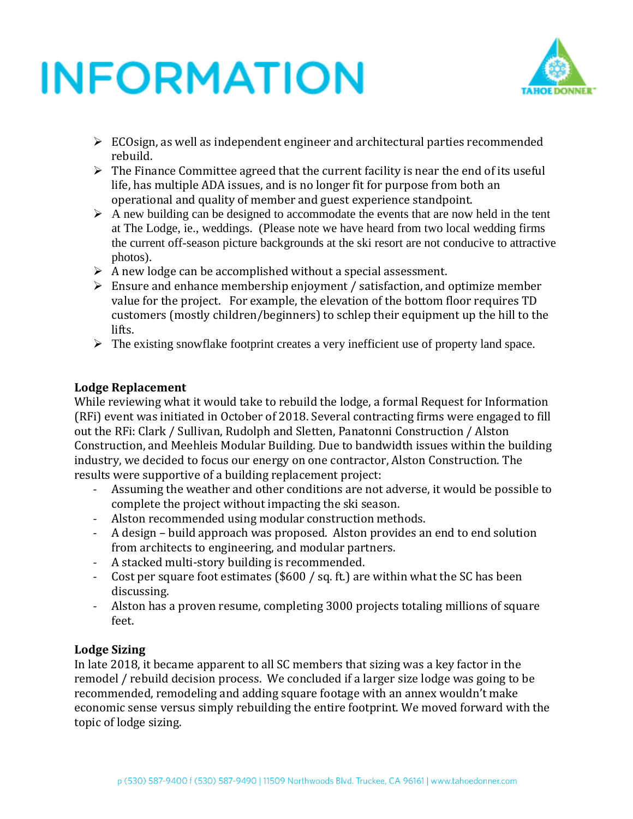

- ➢ ECOsign, as well as independent engineer and architectural parties recommended rebuild.
- $\triangleright$  The Finance Committee agreed that the current facility is near the end of its useful life, has multiple ADA issues, and is no longer fit for purpose from both an operational and quality of member and guest experience standpoint.
- $\triangleright$  A new building can be designed to accommodate the events that are now held in the tent at The Lodge, ie., weddings. (Please note we have heard from two local wedding firms the current off-season picture backgrounds at the ski resort are not conducive to attractive photos).
- $\triangleright$  A new lodge can be accomplished without a special assessment.
- $\triangleright$  Ensure and enhance membership enjoyment / satisfaction, and optimize member value for the project. For example, the elevation of the bottom floor requires TD customers (mostly children/beginners) to schlep their equipment up the hill to the lifts.
- $\triangleright$  The existing snowflake footprint creates a very inefficient use of property land space.

### **Lodge Replacement**

While reviewing what it would take to rebuild the lodge, a formal Request for Information (RFi) event was initiated in October of 2018. Several contracting firms were engaged to fill out the RFi: Clark / Sullivan, Rudolph and Sletten, Panatonni Construction / Alston Construction, and Meehleis Modular Building. Due to bandwidth issues within the building industry, we decided to focus our energy on one contractor, Alston Construction. The results were supportive of a building replacement project:

- Assuming the weather and other conditions are not adverse, it would be possible to complete the project without impacting the ski season.
- Alston recommended using modular construction methods.
- A design build approach was proposed. Alston provides an end to end solution from architects to engineering, and modular partners.
- A stacked multi-story building is recommended.
- Cost per square foot estimates (\$600 / sq. ft.) are within what the SC has been discussing.
- Alston has a proven resume, completing 3000 projects totaling millions of square feet.

### **Lodge Sizing**

In late 2018, it became apparent to all SC members that sizing was a key factor in the remodel / rebuild decision process. We concluded if a larger size lodge was going to be recommended, remodeling and adding square footage with an annex wouldn't make economic sense versus simply rebuilding the entire footprint. We moved forward with the topic of lodge sizing.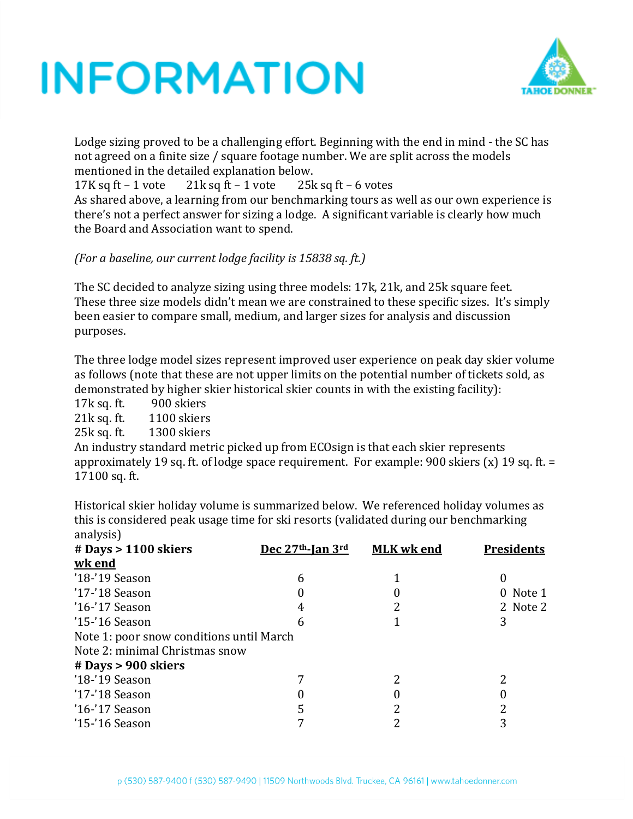

Lodge sizing proved to be a challenging effort. Beginning with the end in mind - the SC has not agreed on a finite size / square footage number. We are split across the models mentioned in the detailed explanation below.

17K sq ft – 1 vote  $21k$  sq ft – 1 vote  $25k$  sq ft – 6 votes

As shared above, a learning from our benchmarking tours as well as our own experience is there's not a perfect answer for sizing a lodge. A significant variable is clearly how much the Board and Association want to spend.

*(For a baseline, our current lodge facility is 15838 sq. ft.)*

The SC decided to analyze sizing using three models: 17k, 21k, and 25k square feet. These three size models didn't mean we are constrained to these specific sizes. It's simply been easier to compare small, medium, and larger sizes for analysis and discussion purposes.

The three lodge model sizes represent improved user experience on peak day skier volume as follows (note that these are not upper limits on the potential number of tickets sold, as demonstrated by higher skier historical skier counts in with the existing facility):

17k sq. ft. 900 skiers

21k sq. ft. 1100 skiers

25k sq. ft. 1300 skiers

An industry standard metric picked up from ECOsign is that each skier represents approximately 19 sq. ft. of lodge space requirement. For example: 900 skiers (x) 19 sq. ft. = 17100 sq. ft.

Historical skier holiday volume is summarized below. We referenced holiday volumes as this is considered peak usage time for ski resorts (validated during our benchmarking analysis)

| <u>, 010</u>                             |                  |                   |                   |
|------------------------------------------|------------------|-------------------|-------------------|
| $#$ Days > 1100 skiers                   | Dec 27th-Jan 3rd | <b>MLK</b> wk end | <b>Presidents</b> |
| wk end                                   |                  |                   |                   |
| '18-'19 Season                           | 6                |                   | 0                 |
| '17-'18 Season                           |                  |                   | 0 Note 1          |
| '16-'17 Season                           |                  |                   | 2 Note 2          |
| '15-'16 Season                           | 6                |                   | 3                 |
| Note 1: poor snow conditions until March |                  |                   |                   |
| Note 2: minimal Christmas snow           |                  |                   |                   |
| $#$ Days > 900 skiers                    |                  |                   |                   |
| '18-'19 Season                           |                  |                   | າ                 |
| $'17-'18$ Season                         |                  |                   |                   |
| $'16$ -'17 Season                        |                  |                   |                   |
| '15-'16 Season                           |                  |                   | 3                 |
|                                          |                  |                   |                   |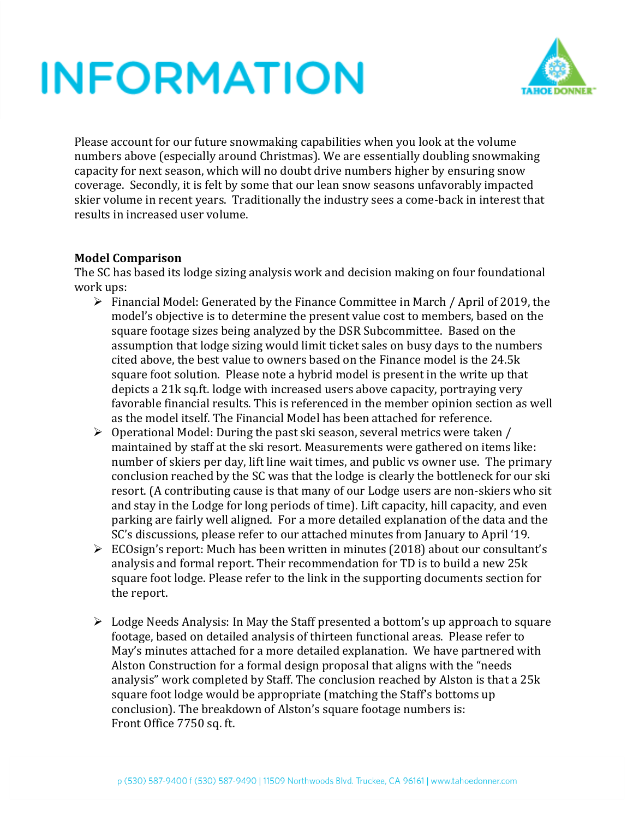

Please account for our future snowmaking capabilities when you look at the volume numbers above (especially around Christmas). We are essentially doubling snowmaking capacity for next season, which will no doubt drive numbers higher by ensuring snow coverage. Secondly, it is felt by some that our lean snow seasons unfavorably impacted skier volume in recent years. Traditionally the industry sees a come-back in interest that results in increased user volume.

#### **Model Comparison**

The SC has based its lodge sizing analysis work and decision making on four foundational work ups:

- ➢ Financial Model: Generated by the Finance Committee in March / April of 2019, the model's objective is to determine the present value cost to members, based on the square footage sizes being analyzed by the DSR Subcommittee. Based on the assumption that lodge sizing would limit ticket sales on busy days to the numbers cited above, the best value to owners based on the Finance model is the 24.5k square foot solution. Please note a hybrid model is present in the write up that depicts a 21k sq.ft. lodge with increased users above capacity, portraying very favorable financial results. This is referenced in the member opinion section as well as the model itself. The Financial Model has been attached for reference.
- ➢ Operational Model: During the past ski season, several metrics were taken / maintained by staff at the ski resort. Measurements were gathered on items like: number of skiers per day, lift line wait times, and public vs owner use. The primary conclusion reached by the SC was that the lodge is clearly the bottleneck for our ski resort. (A contributing cause is that many of our Lodge users are non-skiers who sit and stay in the Lodge for long periods of time). Lift capacity, hill capacity, and even parking are fairly well aligned. For a more detailed explanation of the data and the SC's discussions, please refer to our attached minutes from January to April '19.
- ➢ ECOsign's report: Much has been written in minutes (2018) about our consultant's analysis and formal report. Their recommendation for TD is to build a new 25k square foot lodge. Please refer to the link in the supporting documents section for the report.
- ➢ Lodge Needs Analysis: In May the Staff presented a bottom's up approach to square footage, based on detailed analysis of thirteen functional areas. Please refer to May's minutes attached for a more detailed explanation. We have partnered with Alston Construction for a formal design proposal that aligns with the "needs analysis" work completed by Staff. The conclusion reached by Alston is that a 25k square foot lodge would be appropriate (matching the Staff's bottoms up conclusion). The breakdown of Alston's square footage numbers is: Front Office 7750 sq. ft.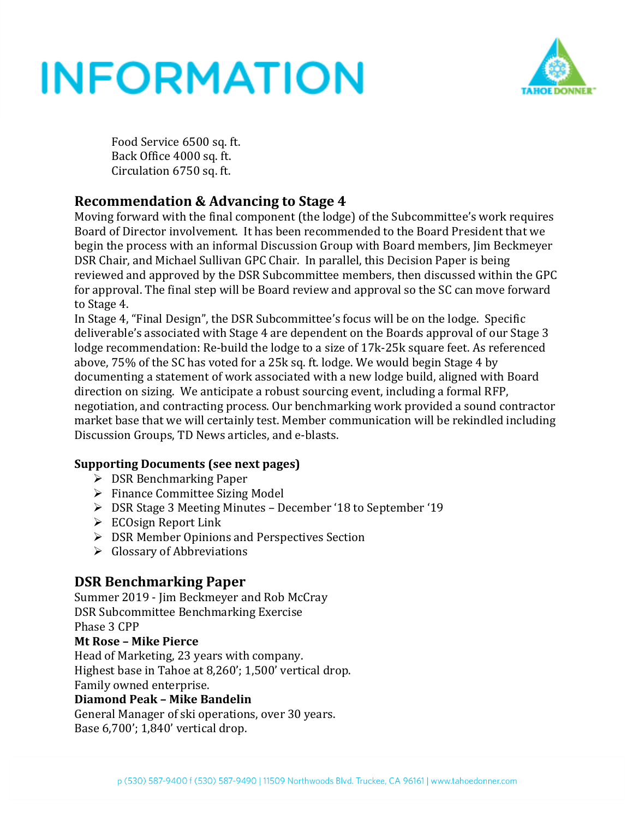

Food Service 6500 sq. ft. Back Office 4000 sq. ft. Circulation 6750 sq. ft.

### **Recommendation & Advancing to Stage 4**

Moving forward with the final component (the lodge) of the Subcommittee's work requires Board of Director involvement. It has been recommended to the Board President that we begin the process with an informal Discussion Group with Board members, Jim Beckmeyer DSR Chair, and Michael Sullivan GPC Chair. In parallel, this Decision Paper is being reviewed and approved by the DSR Subcommittee members, then discussed within the GPC for approval. The final step will be Board review and approval so the SC can move forward to Stage 4.

In Stage 4, "Final Design", the DSR Subcommittee's focus will be on the lodge. Specific deliverable's associated with Stage 4 are dependent on the Boards approval of our Stage 3 lodge recommendation: Re-build the lodge to a size of 17k-25k square feet. As referenced above, 75% of the SC has voted for a 25k sq. ft. lodge. We would begin Stage 4 by documenting a statement of work associated with a new lodge build, aligned with Board direction on sizing. We anticipate a robust sourcing event, including a formal RFP, negotiation, and contracting process. Our benchmarking work provided a sound contractor market base that we will certainly test. Member communication will be rekindled including Discussion Groups, TD News articles, and e-blasts.

### **Supporting Documents (see next pages)**

- ➢ DSR Benchmarking Paper
- ➢ Finance Committee Sizing Model
- ➢ DSR Stage 3 Meeting Minutes December '18 to September '19
- ➢ ECOsign Report Link
- ➢ DSR Member Opinions and Perspectives Section
- ➢ Glossary of Abbreviations

### **DSR Benchmarking Paper**

Summer 2019 - Jim Beckmeyer and Rob McCray DSR Subcommittee Benchmarking Exercise Phase 3 CPP

#### **Mt Rose – Mike Pierce**

Head of Marketing, 23 years with company. Highest base in Tahoe at 8,260'; 1,500' vertical drop. Family owned enterprise.

### **Diamond Peak – Mike Bandelin**

General Manager of ski operations, over 30 years. Base 6,700'; 1,840' vertical drop.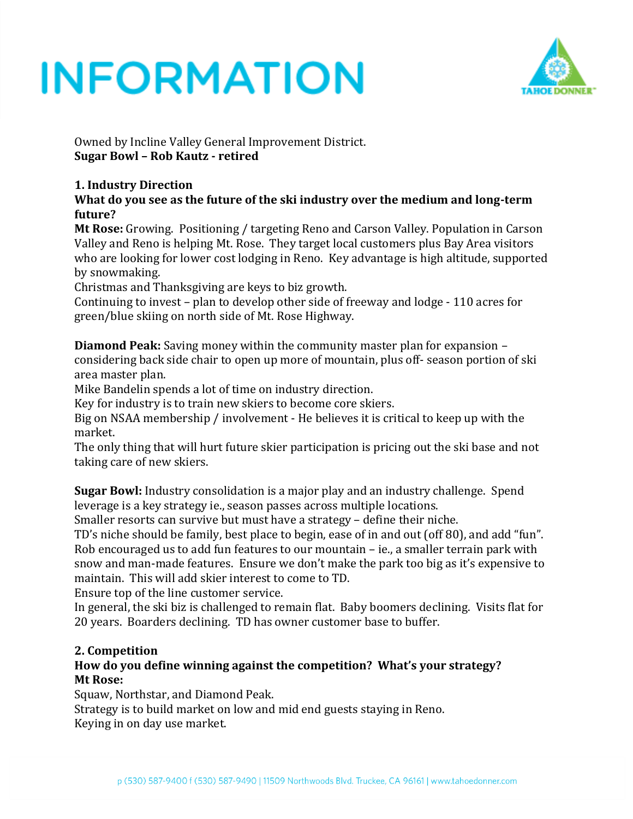

Owned by Incline Valley General Improvement District. **Sugar Bowl – Rob Kautz - retired**

### **1. Industry Direction**

**What do you see as the future of the ski industry over the medium and long-term future?**

**Mt Rose:** Growing. Positioning / targeting Reno and Carson Valley. Population in Carson Valley and Reno is helping Mt. Rose. They target local customers plus Bay Area visitors who are looking for lower cost lodging in Reno. Key advantage is high altitude, supported by snowmaking.

Christmas and Thanksgiving are keys to biz growth.

Continuing to invest – plan to develop other side of freeway and lodge - 110 acres for green/blue skiing on north side of Mt. Rose Highway.

**Diamond Peak:** Saving money within the community master plan for expansion – considering back side chair to open up more of mountain, plus off- season portion of ski area master plan.

Mike Bandelin spends a lot of time on industry direction.

Key for industry is to train new skiers to become core skiers.

Big on NSAA membership / involvement - He believes it is critical to keep up with the market.

The only thing that will hurt future skier participation is pricing out the ski base and not taking care of new skiers.

**Sugar Bowl:** Industry consolidation is a major play and an industry challenge. Spend leverage is a key strategy ie., season passes across multiple locations.

Smaller resorts can survive but must have a strategy – define their niche.

TD's niche should be family, best place to begin, ease of in and out (off 80), and add "fun". Rob encouraged us to add fun features to our mountain – ie., a smaller terrain park with snow and man-made features. Ensure we don't make the park too big as it's expensive to maintain. This will add skier interest to come to TD.

Ensure top of the line customer service.

In general, the ski biz is challenged to remain flat. Baby boomers declining. Visits flat for 20 years. Boarders declining. TD has owner customer base to buffer.

### **2. Competition**

#### **How do you define winning against the competition? What's your strategy? Mt Rose:**

Squaw, Northstar, and Diamond Peak.

Strategy is to build market on low and mid end guests staying in Reno. Keying in on day use market.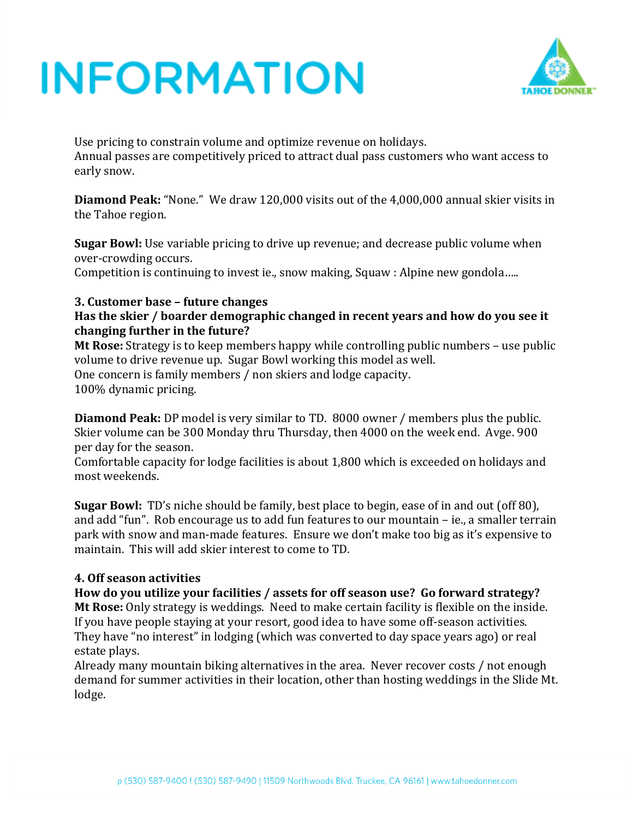

Use pricing to constrain volume and optimize revenue on holidays. Annual passes are competitively priced to attract dual pass customers who want access to early snow.

**Diamond Peak:** "None." We draw 120,000 visits out of the 4,000,000 annual skier visits in the Tahoe region.

**Sugar Bowl:** Use variable pricing to drive up revenue; and decrease public volume when over-crowding occurs.

Competition is continuing to invest ie., snow making, Squaw : Alpine new gondola…..

#### **3. Customer base – future changes**

#### **Has the skier / boarder demographic changed in recent years and how do you see it changing further in the future?**

**Mt Rose:** Strategy is to keep members happy while controlling public numbers – use public volume to drive revenue up. Sugar Bowl working this model as well. One concern is family members / non skiers and lodge capacity. 100% dynamic pricing.

**Diamond Peak:** DP model is very similar to TD. 8000 owner / members plus the public. Skier volume can be 300 Monday thru Thursday, then 4000 on the week end. Avge. 900 per day for the season.

Comfortable capacity for lodge facilities is about 1,800 which is exceeded on holidays and most weekends.

**Sugar Bowl:** TD's niche should be family, best place to begin, ease of in and out (off 80), and add "fun". Rob encourage us to add fun features to our mountain – ie., a smaller terrain park with snow and man-made features. Ensure we don't make too big as it's expensive to maintain. This will add skier interest to come to TD.

#### **4. Off season activities**

**How do you utilize your facilities / assets for off season use? Go forward strategy? Mt Rose:** Only strategy is weddings. Need to make certain facility is flexible on the inside. If you have people staying at your resort, good idea to have some off-season activities. They have "no interest" in lodging (which was converted to day space years ago) or real estate plays.

Already many mountain biking alternatives in the area. Never recover costs / not enough demand for summer activities in their location, other than hosting weddings in the Slide Mt. lodge.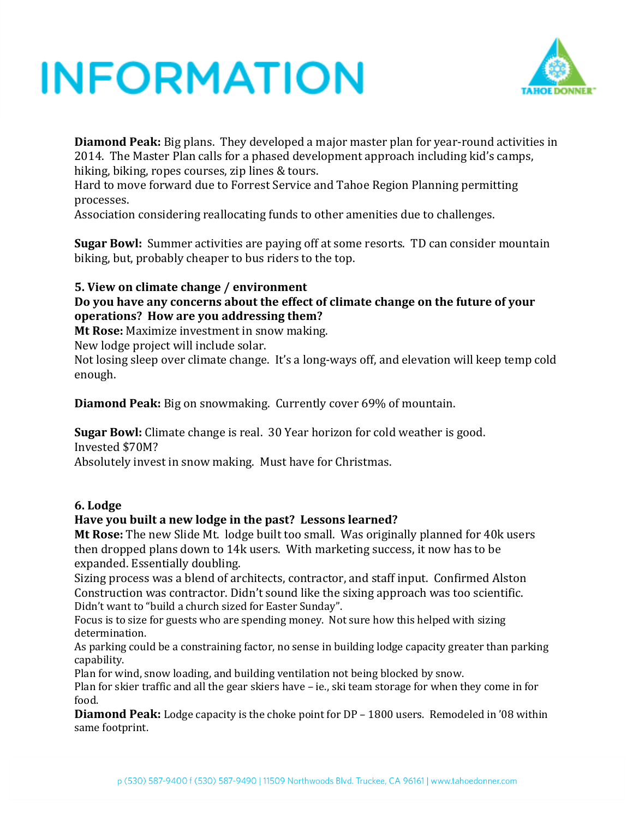

**Diamond Peak:** Big plans. They developed a major master plan for year-round activities in 2014. The Master Plan calls for a phased development approach including kid's camps, hiking, biking, ropes courses, zip lines & tours.

Hard to move forward due to Forrest Service and Tahoe Region Planning permitting processes.

Association considering reallocating funds to other amenities due to challenges.

**Sugar Bowl:** Summer activities are paying off at some resorts. TD can consider mountain biking, but, probably cheaper to bus riders to the top.

#### **5. View on climate change / environment**

#### **Do you have any concerns about the effect of climate change on the future of your operations? How are you addressing them?**

**Mt Rose:** Maximize investment in snow making.

New lodge project will include solar.

Not losing sleep over climate change. It's a long-ways off, and elevation will keep temp cold enough.

**Diamond Peak:** Big on snowmaking. Currently cover 69% of mountain.

**Sugar Bowl:** Climate change is real. 30 Year horizon for cold weather is good. Invested \$70M?

Absolutely invest in snow making. Must have for Christmas.

#### **6. Lodge**

#### **Have you built a new lodge in the past? Lessons learned?**

**Mt Rose:** The new Slide Mt. lodge built too small. Was originally planned for 40k users then dropped plans down to 14k users. With marketing success, it now has to be expanded. Essentially doubling.

Sizing process was a blend of architects, contractor, and staff input. Confirmed Alston Construction was contractor. Didn't sound like the sixing approach was too scientific. Didn't want to "build a church sized for Easter Sunday".

Focus is to size for guests who are spending money. Not sure how this helped with sizing determination.

As parking could be a constraining factor, no sense in building lodge capacity greater than parking capability.

Plan for wind, snow loading, and building ventilation not being blocked by snow.

Plan for skier traffic and all the gear skiers have – ie., ski team storage for when they come in for food.

**Diamond Peak:** Lodge capacity is the choke point for DP – 1800 users. Remodeled in '08 within same footprint.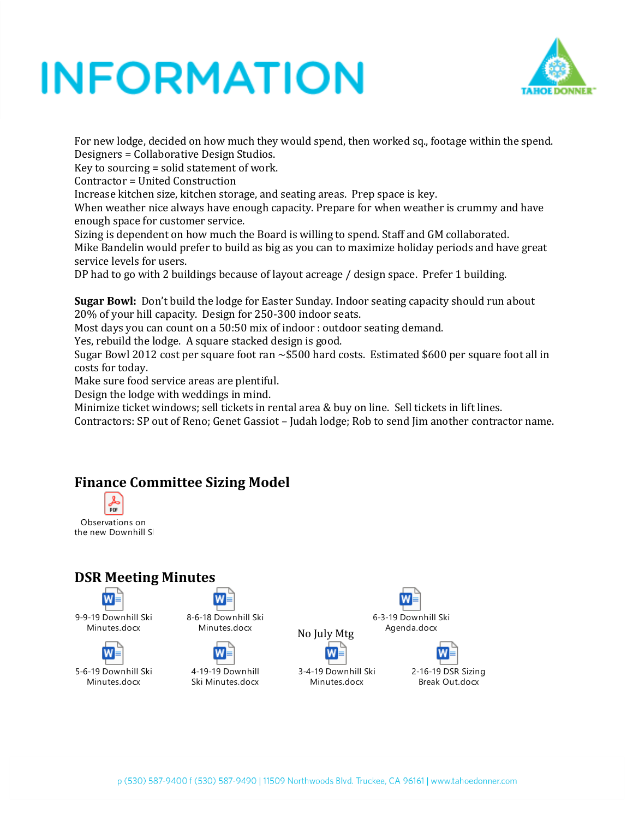

For new lodge, decided on how much they would spend, then worked sq., footage within the spend. Designers = Collaborative Design Studios.

Key to sourcing = solid statement of work.

Contractor = United Construction

Increase kitchen size, kitchen storage, and seating areas. Prep space is key.

When weather nice always have enough capacity. Prepare for when weather is crummy and have enough space for customer service.

Sizing is dependent on how much the Board is willing to spend. Staff and GM collaborated. Mike Bandelin would prefer to build as big as you can to maximize holiday periods and have great service levels for users.

DP had to go with 2 buildings because of layout acreage / design space. Prefer 1 building.

**Sugar Bowl:** Don't build the lodge for Easter Sunday. Indoor seating capacity should run about 20% of your hill capacity. Design for 250-300 indoor seats.

Most days you can count on a 50:50 mix of indoor : outdoor seating demand.

Yes, rebuild the lodge. A square stacked design is good.

Sugar Bowl 2012 cost per square foot ran  $\sim$ \$500 hard costs. Estimated \$600 per square foot all in costs for today.

Make sure food service areas are plentiful.

Design the lodge with weddings in mind.

Minimize ticket windows; sell tickets in rental area & buy on line. Sell tickets in lift lines.

Contractors: SP out of Reno; Genet Gassiot – Judah lodge; Rob to send Jim another contractor name.

### **Finance Committee Sizing Model**



### **DSR Meeting Minutes**



9-9-19 Downhill Ski Minutes.docx

w 5-6-19 Downhill Ski Minutes.docx



Minutes.docx



Ski Minutes.docx







No July Mtg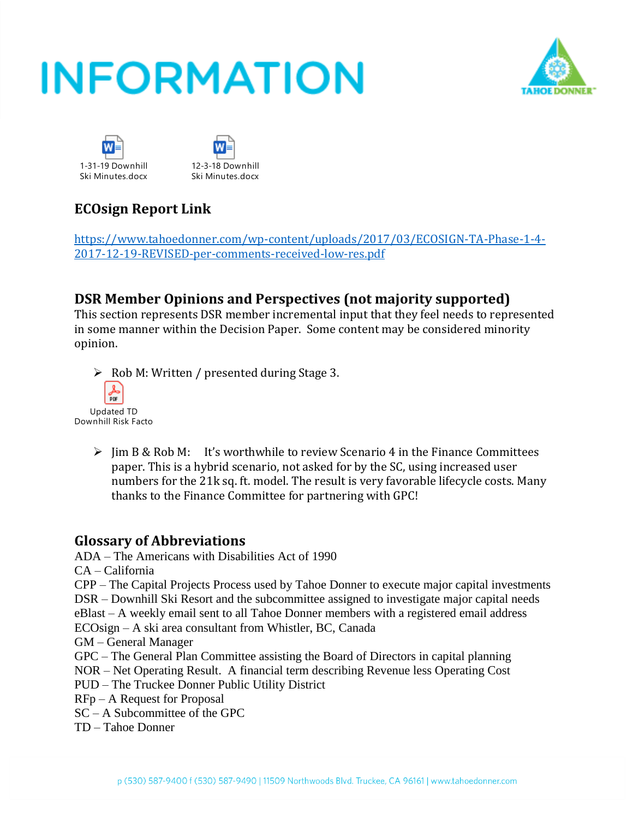





### **ECOsign Report Link**

[https://www.tahoedonner.com/wp-content/uploads/2017/03/ECOSIGN-TA-Phase-1-4-](https://www.tahoedonner.com/wp-content/uploads/2017/03/ECOSIGN-TA-Phase-1-4-2017-12-19-REVISED-per-comments-received-low-res.pdf) [2017-12-19-REVISED-per-comments-received-low-res.pdf](https://www.tahoedonner.com/wp-content/uploads/2017/03/ECOSIGN-TA-Phase-1-4-2017-12-19-REVISED-per-comments-received-low-res.pdf)

### **DSR Member Opinions and Perspectives (not majority supported)**

This section represents DSR member incremental input that they feel needs to represented in some manner within the Decision Paper. Some content may be considered minority opinion.

- ➢ Rob M: Written / presented during Stage 3. PDF Updated TD Downhill Risk Factor
	- $\triangleright$  Jim B & Rob M: It's worthwhile to review Scenario 4 in the Finance Committees paper. This is a hybrid scenario, not asked for by the SC, using increased user numbers for the 21k sq. ft. model. The result is very favorable lifecycle costs. Many thanks to the Finance Committee for partnering with GPC!

### **Glossary of Abbreviations**

ADA – The Americans with Disabilities Act of 1990

CA – California

CPP – The Capital Projects Process used by Tahoe Donner to execute major capital investments

DSR – Downhill Ski Resort and the subcommittee assigned to investigate major capital needs

eBlast – A weekly email sent to all Tahoe Donner members with a registered email address

ECOsign – A ski area consultant from Whistler, BC, Canada

GM – General Manager

- GPC The General Plan Committee assisting the Board of Directors in capital planning
- NOR Net Operating Result. A financial term describing Revenue less Operating Cost
- PUD The Truckee Donner Public Utility District
- RFp A Request for Proposal
- SC A Subcommittee of the GPC
- TD Tahoe Donner